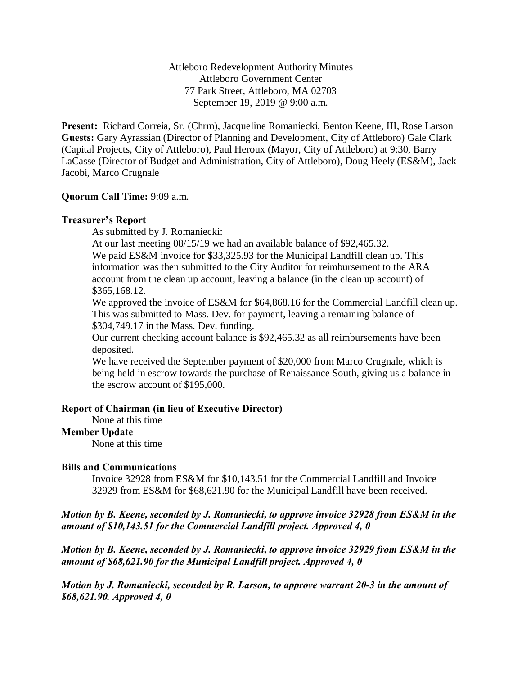Attleboro Redevelopment Authority Minutes Attleboro Government Center 77 Park Street, Attleboro, MA 02703 September 19, 2019 @ 9:00 a.m.

**Present:** Richard Correia, Sr. (Chrm), Jacqueline Romaniecki, Benton Keene, III, Rose Larson **Guests:** Gary Ayrassian (Director of Planning and Development, City of Attleboro) Gale Clark (Capital Projects, City of Attleboro), Paul Heroux (Mayor, City of Attleboro) at 9:30, Barry LaCasse (Director of Budget and Administration, City of Attleboro), Doug Heely (ES&M), Jack Jacobi, Marco Crugnale

### **Quorum Call Time:** 9:09 a.m.

### **Treasurer's Report**

As submitted by J. Romaniecki:

At our last meeting 08/15/19 we had an available balance of \$92,465.32.

We paid ES&M invoice for \$33,325.93 for the Municipal Landfill clean up. This information was then submitted to the City Auditor for reimbursement to the ARA account from the clean up account, leaving a balance (in the clean up account) of \$365,168.12.

We approved the invoice of ES&M for \$64,868.16 for the Commercial Landfill clean up. This was submitted to Mass. Dev. for payment, leaving a remaining balance of \$304,749.17 in the Mass. Dev. funding.

Our current checking account balance is \$92,465.32 as all reimbursements have been deposited.

We have received the September payment of \$20,000 from Marco Crugnale, which is being held in escrow towards the purchase of Renaissance South, giving us a balance in the escrow account of \$195,000.

## **Report of Chairman (in lieu of Executive Director)**

None at this time

## **Member Update**

None at this time

## **Bills and Communications**

Invoice 32928 from ES&M for \$10,143.51 for the Commercial Landfill and Invoice 32929 from ES&M for \$68,621.90 for the Municipal Landfill have been received.

*Motion by B. Keene, seconded by J. Romaniecki, to approve invoice 32928 from ES&M in the amount of \$10,143.51 for the Commercial Landfill project. Approved 4, 0*

*Motion by B. Keene, seconded by J. Romaniecki, to approve invoice 32929 from ES&M in the amount of \$68,621.90 for the Municipal Landfill project. Approved 4, 0*

*Motion by J. Romaniecki, seconded by R. Larson, to approve warrant 20-3 in the amount of \$68,621.90. Approved 4, 0*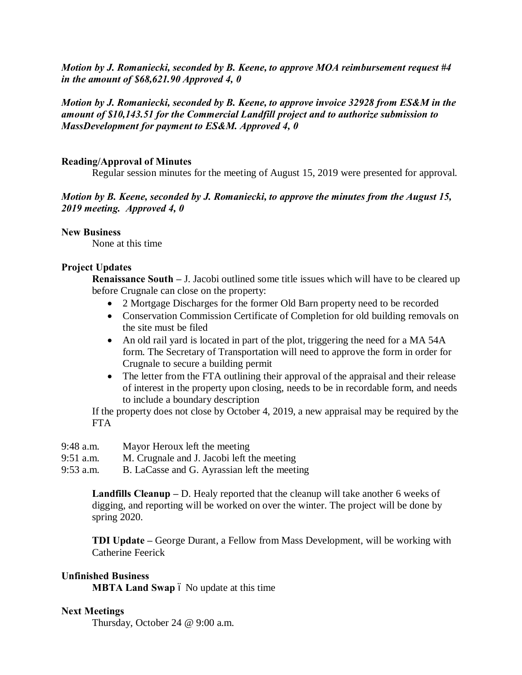*Motion by J. Romaniecki, seconded by B. Keene, to approve MOA reimbursement request #4 in the amount of \$68,621.90 Approved 4, 0*

# *Motion by J. Romaniecki, seconded by B. Keene, to approve invoice 32928 from ES&M in the amount of \$10,143.51 for the Commercial Landfill project and to authorize submission to MassDevelopment for payment to ES&M. Approved 4, 0*

### **Reading/Approval of Minutes**

Regular session minutes for the meeting of August 15, 2019 were presented for approval.

*Motion by B. Keene, seconded by J. Romaniecki, to approve the minutes from the August 15, 2019 meeting. Approved 4, 0*

#### **New Business**

None at this time

### **Project Updates**

**Renaissance South –** J. Jacobi outlined some title issues which will have to be cleared up before Crugnale can close on the property:

- · 2 Mortgage Discharges for the former Old Barn property need to be recorded
- Conservation Commission Certificate of Completion for old building removals on the site must be filed
- An old rail yard is located in part of the plot, triggering the need for a MA 54A form. The Secretary of Transportation will need to approve the form in order for Crugnale to secure a building permit
- The letter from the FTA outlining their approval of the appraisal and their release of interest in the property upon closing, needs to be in recordable form, and needs to include a boundary description

If the property does not close by October 4, 2019, a new appraisal may be required by the FTA

- 9:48 a.m. Mayor Heroux left the meeting
- 9:51 a.m. M. Crugnale and J. Jacobi left the meeting
- 9:53 a.m. B. LaCasse and G. Ayrassian left the meeting

**Landfills Cleanup –** D. Healy reported that the cleanup will take another 6 weeks of digging, and reporting will be worked on over the winter. The project will be done by spring 2020.

**TDI Update –** George Durant, a Fellow from Mass Development, will be working with Catherine Feerick

#### **Unfinished Business**

**MBTA Land Swap** 6 No update at this time

#### **Next Meetings**

Thursday, October 24 @ 9:00 a.m.